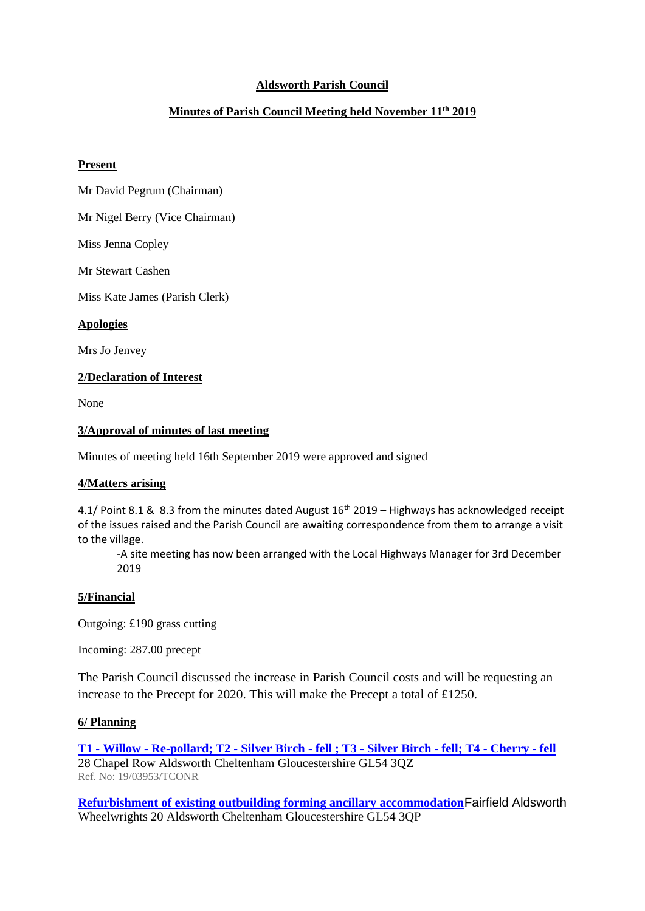# **Aldsworth Parish Council**

# **Minutes of Parish Council Meeting held November 11th 2019**

#### **Present**

Mr David Pegrum (Chairman)

Mr Nigel Berry (Vice Chairman)

Miss Jenna Copley

Mr Stewart Cashen

Miss Kate James (Parish Clerk)

**Apologies**

Mrs Jo Jenvey

## **2/Declaration of Interest**

None

## **3/Approval of minutes of last meeting**

Minutes of meeting held 16th September 2019 were approved and signed

#### **4/Matters arising**

4.1/ Point 8.1 & 8.3 from the minutes dated August 16<sup>th</sup> 2019 – Highways has acknowledged receipt of the issues raised and the Parish Council are awaiting correspondence from them to arrange a visit to the village.

-A site meeting has now been arranged with the Local Highways Manager for 3rd December 2019

## **5/Financial**

Outgoing: £190 grass cutting

Incoming: 287.00 precept

The Parish Council discussed the increase in Parish Council costs and will be requesting an increase to the Precept for 2020. This will make the Precept a total of £1250.

## **6/ Planning**

**T1 - Willow - [Re-pollard; T2 -](https://publicaccess.cotswold.gov.uk/online-applications/applicationDetails.do?keyVal=PZVIJDFILIZ00&activeTab=summary) Silver Birch - fell ; T3 - Silver Birch - fell; T4 - Cherry - fell** 28 Chapel Row Aldsworth Cheltenham Gloucestershire GL54 3QZ Ref. No: 19/03953/TCONR

**[Refurbishment of existing outbuilding forming ancillary accommodation](https://publicaccess.cotswold.gov.uk/online-applications/applicationDetails.do?keyVal=PYBVZ7FI0IN00&activeTab=summary)**Fairfield Aldsworth Wheelwrights 20 Aldsworth Cheltenham Gloucestershire GL54 3QP